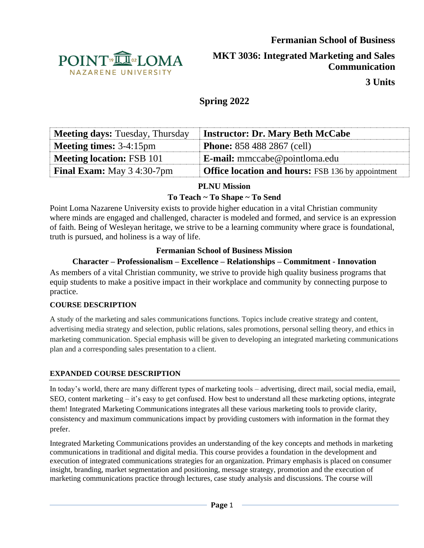

**MKT 3036: Integrated Marketing and Sales Communication**

**3 Units**

# **Spring 2022**

| <b>Meeting days: Tuesday, Thursday</b>   | <b>Instructor: Dr. Mary Beth McCabe</b>                  |
|------------------------------------------|----------------------------------------------------------|
| <b>Meeting times:</b> $3-4:15 \text{pm}$ | <b>Phone:</b> 858 488 2867 (cell)                        |
| <b>Meeting location: FSB 101</b>         | <b>E-mail:</b> mmccabe@pointloma.edu                     |
| <b>Final Exam:</b> May 3 4:30-7pm        | <b>Office location and hours:</b> FSB 136 by appointment |

# **PLNU Mission**

# **To Teach ~ To Shape ~ To Send**

Point Loma Nazarene University exists to provide higher education in a vital Christian community where minds are engaged and challenged, character is modeled and formed, and service is an expression of faith. Being of Wesleyan heritage, we strive to be a learning community where grace is foundational, truth is pursued, and holiness is a way of life.

# **Fermanian School of Business Mission**

# **Character – Professionalism – Excellence – Relationships – Commitment - Innovation**

As members of a vital Christian community, we strive to provide high quality business programs that equip students to make a positive impact in their workplace and community by connecting purpose to practice.

### **COURSE DESCRIPTION**

A study of the marketing and sales communications functions. Topics include creative strategy and content, advertising media strategy and selection, public relations, sales promotions, personal selling theory, and ethics in marketing communication. Special emphasis will be given to developing an integrated marketing communications plan and a corresponding sales presentation to a client.

### **EXPANDED COURSE DESCRIPTION**

In today's world, there are many different types of marketing tools – advertising, direct mail, social media, email, SEO, content marketing – it's easy to get confused. How best to understand all these marketing options, integrate them! Integrated Marketing Communications integrates all these various marketing tools to provide clarity, consistency and maximum communications impact by providing customers with information in the format they prefer.

Integrated Marketing Communications provides an understanding of the key concepts and methods in marketing communications in traditional and digital media. This course provides a foundation in the development and execution of integrated communications strategies for an organization. Primary emphasis is placed on consumer insight, branding, market segmentation and positioning, message strategy, promotion and the execution of marketing communications practice through lectures, case study analysis and discussions. The course will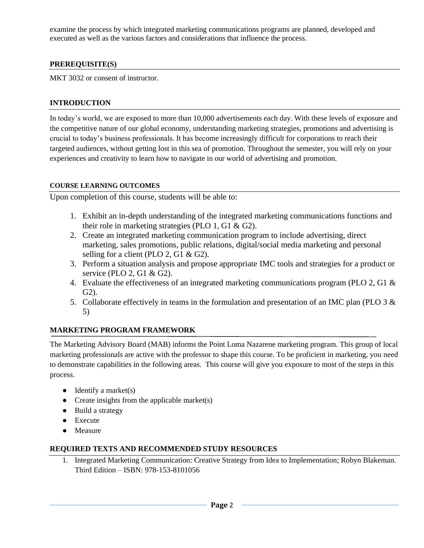examine the process by which integrated marketing communications programs are planned, developed and executed as well as the various factors and considerations that influence the process.

### **PREREQUISITE(S)**

MKT 3032 or consent of instructor.

### **INTRODUCTION**

In today's world, we are exposed to more than 10,000 advertisements each day. With these levels of exposure and the competitive nature of our global economy, understanding marketing strategies, promotions and advertising is crucial to today's business professionals. It has become increasingly difficult for corporations to reach their targeted audiences, without getting lost in this sea of promotion. Throughout the semester, you will rely on your experiences and creativity to learn how to navigate in our world of advertising and promotion.

### **COURSE LEARNING OUTCOMES**

Upon completion of this course, students will be able to:

- 1. Exhibit an in-depth understanding of the integrated marketing communications functions and their role in marketing strategies (PLO 1, G1 & G2).
- 2. Create an integrated marketing communication program to include advertising, direct marketing, sales promotions, public relations, digital/social media marketing and personal selling for a client (PLO 2, G1 & G2).
- 3. Perform a situation analysis and propose appropriate IMC tools and strategies for a product or service (PLO 2, G1 & G2).
- 4. Evaluate the effectiveness of an integrated marketing communications program (PLO 2, G1 & G2).
- 5. Collaborate effectively in teams in the formulation and presentation of an IMC plan (PLO 3 & 5)

### **MARKETING PROGRAM FRAMEWORK**

The Marketing Advisory Board (MAB) informs the Point Loma Nazarene marketing program. This group of local marketing professionals are active with the professor to shape this course. To be proficient in marketing, you need to demonstrate capabilities in the following areas. This course will give you exposure to most of the steps in this process.

- $\bullet$  Identify a market(s)
- Create insights from the applicable market(s)
- Build a strategy
- Execute
- Measure

### **REQUIRED TEXTS AND RECOMMENDED STUDY RESOURCES**

1. Integrated Marketing Communication: Creative Strategy from Idea to Implementation; Robyn Blakeman. Third Edition – ISBN: 978-153-8101056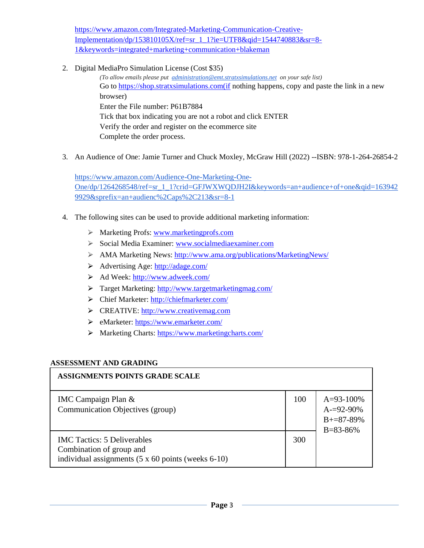[https://www.amazon.com/Integrated-Marketing-Communication-Creative-](https://www.amazon.com/Integrated-Marketing-Communication-Creative-Implementation/dp/153810105X/ref=sr_1_1?ie=UTF8&qid=1544740883&sr=8-1&keywords=integrated+marketing+communication+blakeman)[Implementation/dp/153810105X/ref=sr\\_1\\_1?ie=UTF8&qid=1544740883&sr=8-](https://www.amazon.com/Integrated-Marketing-Communication-Creative-Implementation/dp/153810105X/ref=sr_1_1?ie=UTF8&qid=1544740883&sr=8-1&keywords=integrated+marketing+communication+blakeman) [1&keywords=integrated+marketing+communication+blakeman](https://www.amazon.com/Integrated-Marketing-Communication-Creative-Implementation/dp/153810105X/ref=sr_1_1?ie=UTF8&qid=1544740883&sr=8-1&keywords=integrated+marketing+communication+blakeman)

2. Digital MediaPro Simulation License (Cost \$35)

*(To allow emails please put [administration@emt.stratxsimulations.net](mailto:administration@emt.stratxsimulations.net) on your safe list)* Go to [https://shop.stratxsimulations.com\(if](about:blank) nothing happens, copy and paste the link in a new browser) Enter the File number: P61B7884 Tick that box indicating you are not a robot and click ENTER Verify the order and register on the ecommerce site Complete the order process.

3. An Audience of One: Jamie Turner and Chuck Moxley, McGraw Hill (2022) --ISBN: 978-1-264-26854-2

[https://www.amazon.com/Audience-One-Marketing-One-](https://www.amazon.com/Audience-One-Marketing-One-One/dp/1264268548/ref=sr_1_1?crid=GFJWXWQDJH2I&keywords=an+audience+of+one&qid=1639429929&sprefix=an+audienc%2Caps%2C213&sr=8-1)[One/dp/1264268548/ref=sr\\_1\\_1?crid=GFJWXWQDJH2I&keywords=an+audience+of+one&qid=163942](https://www.amazon.com/Audience-One-Marketing-One-One/dp/1264268548/ref=sr_1_1?crid=GFJWXWQDJH2I&keywords=an+audience+of+one&qid=1639429929&sprefix=an+audienc%2Caps%2C213&sr=8-1) [9929&sprefix=an+audienc%2Caps%2C213&sr=8-1](https://www.amazon.com/Audience-One-Marketing-One-One/dp/1264268548/ref=sr_1_1?crid=GFJWXWQDJH2I&keywords=an+audience+of+one&qid=1639429929&sprefix=an+audienc%2Caps%2C213&sr=8-1)

- 4. The following sites can be used to provide additional marketing information:
	- ⮚ Marketing Profs[: www.marketingprofs.com](http://www.marketingprofs.com/)
	- ⮚ Social Media Examiner[: www.socialmediaexaminer.com](http://www.socialmediaexaminer.com/)
	- ⮚ AMA Marketing News:<http://www.ama.org/publications/MarketingNews/>
	- ⮚ Advertising Age:<http://adage.com/>
	- ⮚ Ad Week[: http://www.adweek.com/](http://www.adweek.com/)
	- ⮚ Target Marketing:<http://www.targetmarketingmag.com/>
	- ⮚ Chief Marketer:<http://chiefmarketer.com/>
	- ⮚ CREATIVE: [http://www.creativemag.com](http://www.creativemag.com/)
	- ⮚ eMarketer:<https://www.emarketer.com/>
	- > Marketing Charts:<https://www.marketingcharts.com/>

#### **ASSESSMENT AND GRADING**

| ASSIGNMENTS POINTS GRADE SCALE                                                                                                      |     |                                                                      |
|-------------------------------------------------------------------------------------------------------------------------------------|-----|----------------------------------------------------------------------|
| IMC Campaign Plan &<br>Communication Objectives (group)                                                                             | 100 | $A=93-100\%$<br>$A = 92 - 90\%$<br>$B = 87 - 89\%$<br>$B = 83 - 86%$ |
| <b>IMC</b> Tactics: 5 Deliverables<br>Combination of group and<br>individual assignments $(5 \times 60 \text{ points}$ (weeks 6-10) | 300 |                                                                      |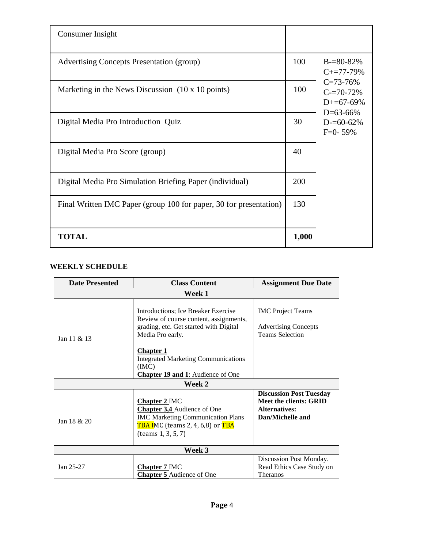| Consumer Insight                                                   |       |                                                               |
|--------------------------------------------------------------------|-------|---------------------------------------------------------------|
| <b>Advertising Concepts Presentation (group)</b>                   | 100   | $B = 80 - 82%$<br>$C+=77-79%$                                 |
| Marketing in the News Discussion $(10 \times 10 \text{ points})$   | 100   | $C = 73 - 76%$<br>$C = 70 - 72%$<br>$D+=67-69%$<br>$D=63-66%$ |
| Digital Media Pro Introduction Quiz                                | 30    | $D = 60 - 62%$<br>$F=0-59%$                                   |
| Digital Media Pro Score (group)                                    | 40    |                                                               |
| Digital Media Pro Simulation Briefing Paper (individual)           | 200   |                                                               |
| Final Written IMC Paper (group 100 for paper, 30 for presentation) | 130   |                                                               |
| <b>TOTAL</b>                                                       | 1,000 |                                                               |

### **WEEKLY SCHEDULE**

| <b>Date Presented</b> | <b>Class Content</b>                                                                                                                                                                                                                                              | <b>Assignment Due Date</b>                                                                                  |  |
|-----------------------|-------------------------------------------------------------------------------------------------------------------------------------------------------------------------------------------------------------------------------------------------------------------|-------------------------------------------------------------------------------------------------------------|--|
| Week 1                |                                                                                                                                                                                                                                                                   |                                                                                                             |  |
| Jan 11 & 13           | Introductions; Ice Breaker Exercise<br>Review of course content, assignments,<br>grading, etc. Get started with Digital<br>Media Pro early.<br><b>Chapter 1</b><br><b>Integrated Marketing Communications</b><br>(MC)<br><b>Chapter 19 and 1:</b> Audience of One | <b>IMC</b> Project Teams<br><b>Advertising Concepts</b><br><b>Teams Selection</b>                           |  |
| Week 2                |                                                                                                                                                                                                                                                                   |                                                                                                             |  |
| Jan $18 & 20$         | <b>Chapter 2 IMC</b><br><b>Chapter 3,4</b> Audience of One<br><b>IMC Marketing Communication Plans</b><br>TBA IMC (teams 2, 4, 6,8) or TBA<br>(teams 1, 3, 5, 7)                                                                                                  | <b>Discussion Post Tuesday</b><br><b>Meet the clients: GRID</b><br><b>Alternatives:</b><br>Dan/Michelle and |  |
| Week 3                |                                                                                                                                                                                                                                                                   |                                                                                                             |  |
| Jan 25-27             | <b>Chapter 7 IMC</b><br><b>Chapter 5</b> Audience of One                                                                                                                                                                                                          | Discussion Post Monday.<br>Read Ethics Case Study on<br>Theranos                                            |  |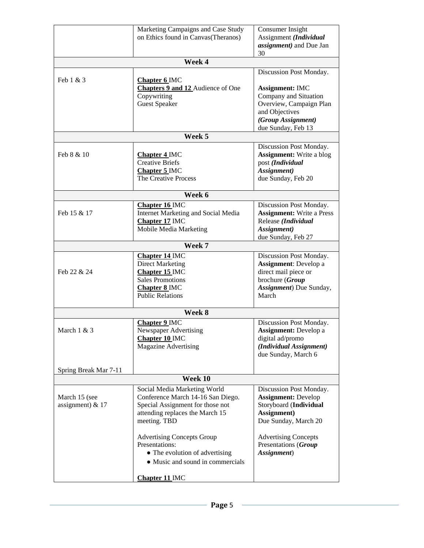|                                     | Marketing Campaigns and Case Study<br>on Ethics found in Canvas(Theranos)                                                                                | Consumer Insight<br>Assignment (Individual<br>assignment) and Due Jan<br>30                                                              |
|-------------------------------------|----------------------------------------------------------------------------------------------------------------------------------------------------------|------------------------------------------------------------------------------------------------------------------------------------------|
|                                     | Week 4                                                                                                                                                   |                                                                                                                                          |
|                                     |                                                                                                                                                          | Discussion Post Monday.                                                                                                                  |
| Feb 1 & 3                           | <b>Chapter 6 IMC</b><br>Chapters 9 and 12 Audience of One<br>Copywriting<br><b>Guest Speaker</b>                                                         | <b>Assignment: IMC</b><br>Company and Situation<br>Overview, Campaign Plan<br>and Objectives<br>(Group Assignment)<br>due Sunday, Feb 13 |
|                                     | Week 5                                                                                                                                                   |                                                                                                                                          |
|                                     |                                                                                                                                                          | Discussion Post Monday.                                                                                                                  |
| Feb 8 & 10                          | <b>Chapter 4 IMC</b><br><b>Creative Briefs</b><br>Chapter 5 IMC<br>The Creative Process                                                                  | <b>Assignment:</b> Write a blog<br>post (Individual<br>Assignment)<br>due Sunday, Feb 20                                                 |
|                                     | Week 6                                                                                                                                                   |                                                                                                                                          |
| Feb 15 & 17                         | <b>Chapter 16 IMC</b><br>Internet Marketing and Social Media<br>Chapter 17 IMC<br>Mobile Media Marketing                                                 | Discussion Post Monday.<br><b>Assignment:</b> Write a Press<br>Release (Individual<br>Assignment)<br>due Sunday, Feb 27                  |
|                                     | Week 7                                                                                                                                                   |                                                                                                                                          |
| Feb 22 & 24                         | <b>Chapter 14 IMC</b><br><b>Direct Marketing</b><br>Chapter 15 IMC<br><b>Sales Promotions</b><br>Chapter 8 IMC<br><b>Public Relations</b>                | Discussion Post Monday.<br><b>Assignment:</b> Develop a<br>direct mail piece or<br>brochure (Group<br>Assignment) Due Sunday,<br>March   |
|                                     | Week 8                                                                                                                                                   |                                                                                                                                          |
| March $1 & 3$                       | Chapter 9 IMC<br>Newspaper Advertising<br>Chapter 10 IMC<br><b>Magazine Advertising</b>                                                                  | Discussion Post Monday.<br><b>Assignment:</b> Develop a<br>digital ad/promo<br>(Individual Assignment)<br>due Sunday, March 6            |
| Spring Break Mar 7-11               |                                                                                                                                                          |                                                                                                                                          |
|                                     | Week 10                                                                                                                                                  |                                                                                                                                          |
| March 15 (see<br>assignment) $& 17$ | Social Media Marketing World<br>Conference March 14-16 San Diego.<br>Special Assignment for those not<br>attending replaces the March 15<br>meeting. TBD | Discussion Post Monday.<br><b>Assignment: Develop</b><br>Storyboard (Individual<br>Assignment)<br>Due Sunday, March 20                   |
|                                     | <b>Advertising Concepts Group</b><br>Presentations:<br>• The evolution of advertising<br>• Music and sound in commercials                                | <b>Advertising Concepts</b><br>Presentations (Group<br>Assignment)                                                                       |
|                                     | <b>Chapter 11 IMC</b>                                                                                                                                    |                                                                                                                                          |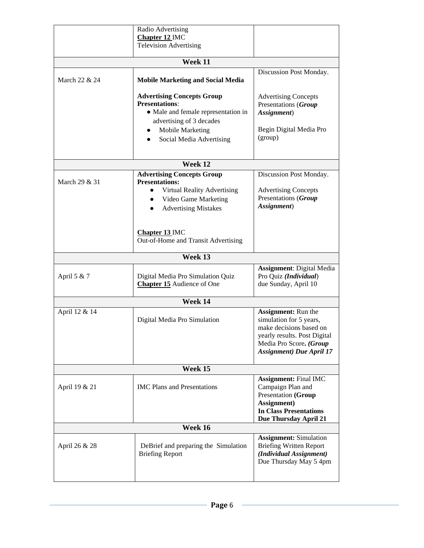|               | Radio Advertising                                                                                                                                                                    |                                                                                                                                                                                 |  |
|---------------|--------------------------------------------------------------------------------------------------------------------------------------------------------------------------------------|---------------------------------------------------------------------------------------------------------------------------------------------------------------------------------|--|
|               | Chapter 12 IMC<br><b>Television Advertising</b>                                                                                                                                      |                                                                                                                                                                                 |  |
|               | Week 11                                                                                                                                                                              |                                                                                                                                                                                 |  |
|               |                                                                                                                                                                                      |                                                                                                                                                                                 |  |
| March 22 & 24 | <b>Mobile Marketing and Social Media</b>                                                                                                                                             | Discussion Post Monday.                                                                                                                                                         |  |
|               | <b>Advertising Concepts Group</b><br><b>Presentations:</b><br>• Male and female representation in<br>advertising of 3 decades<br><b>Mobile Marketing</b><br>Social Media Advertising | <b>Advertising Concepts</b><br>Presentations (Group<br>Assignment)<br>Begin Digital Media Pro<br>(group)                                                                        |  |
|               | Week 12                                                                                                                                                                              |                                                                                                                                                                                 |  |
| March 29 & 31 | <b>Advertising Concepts Group</b><br><b>Presentations:</b><br>Virtual Reality Advertising<br>Video Game Marketing<br>$\bullet$<br><b>Advertising Mistakes</b>                        | Discussion Post Monday.<br><b>Advertising Concepts</b><br>Presentations (Group<br>Assignment)                                                                                   |  |
|               | <b>Chapter 13 IMC</b><br>Out-of-Home and Transit Advertising                                                                                                                         |                                                                                                                                                                                 |  |
|               | Week 13                                                                                                                                                                              |                                                                                                                                                                                 |  |
| April 5 & 7   | Digital Media Pro Simulation Quiz<br><b>Chapter 15</b> Audience of One                                                                                                               | <b>Assignment: Digital Media</b><br>Pro Quiz (Individual)<br>due Sunday, April 10                                                                                               |  |
|               | Week 14                                                                                                                                                                              |                                                                                                                                                                                 |  |
| April 12 & 14 | Digital Media Pro Simulation                                                                                                                                                         | <b>Assignment:</b> Run the<br>simulation for 5 years,<br>make decisions based on<br>yearly results. Post Digital<br>Media Pro Score. (Group<br><b>Assignment</b> ) Due April 17 |  |
|               | Week 15                                                                                                                                                                              |                                                                                                                                                                                 |  |
| April 19 & 21 | <b>IMC</b> Plans and Presentations                                                                                                                                                   | <b>Assignment: Final IMC</b><br>Campaign Plan and<br>Presentation (Group<br>Assignment)<br><b>In Class Presentations</b><br>Due Thursday April 21                               |  |
| Week 16       |                                                                                                                                                                                      |                                                                                                                                                                                 |  |
| April 26 & 28 | DeBrief and preparing the Simulation<br><b>Briefing Report</b>                                                                                                                       | <b>Assignment:</b> Simulation<br><b>Briefing Written Report</b><br>(Individual Assignment)<br>Due Thursday May 5 4pm                                                            |  |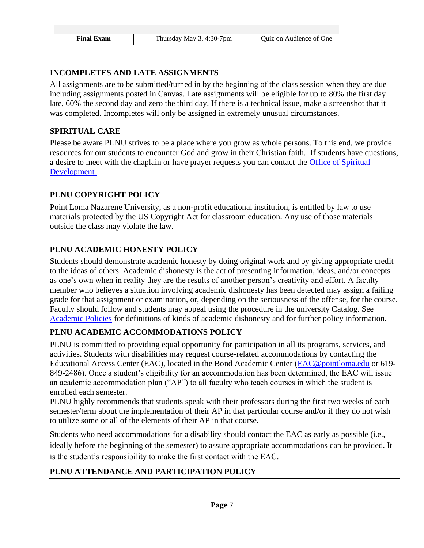| Final Exam | Thursday May 3, 4:30-7pm | Ouiz on Audience of One |
|------------|--------------------------|-------------------------|

# **INCOMPLETES AND LATE ASSIGNMENTS**

All assignments are to be submitted/turned in by the beginning of the class session when they are due including assignments posted in Canvas. Late assignments will be eligible for up to 80% the first day late, 60% the second day and zero the third day. If there is a technical issue, make a screenshot that it was completed. Incompletes will only be assigned in extremely unusual circumstances.

### **SPIRITUAL CARE**

Please be aware PLNU strives to be a place where you grow as whole persons. To this end, we provide resources for our students to encounter God and grow in their Christian faith. If students have questions, a desire to meet with the chaplain or have prayer requests you can contact the [Office of Spiritual](https://www.pointloma.edu/offices/spiritual-development)  [Development](https://www.pointloma.edu/offices/spiritual-development)

# **PLNU COPYRIGHT POLICY**

Point Loma Nazarene University, as a non-profit educational institution, is entitled by law to use materials protected by the US Copyright Act for classroom education. Any use of those materials outside the class may violate the law.

# **PLNU ACADEMIC HONESTY POLICY**

Students should demonstrate academic honesty by doing original work and by giving appropriate credit to the ideas of others. Academic dishonesty is the act of presenting information, ideas, and/or concepts as one's own when in reality they are the results of another person's creativity and effort. A faculty member who believes a situation involving academic dishonesty has been detected may assign a failing grade for that assignment or examination, or, depending on the seriousness of the offense, for the course. Faculty should follow and students may appeal using the procedure in the university Catalog. See [Academic Policies](https://catalog.pointloma.edu/content.php?catoid=52&navoid=2919#Academic_Honesty) for definitions of kinds of academic dishonesty and for further policy information.

# **PLNU ACADEMIC ACCOMMODATIONS POLICY**

PLNU is committed to providing equal opportunity for participation in all its programs, services, and activities. Students with disabilities may request course-related accommodations by contacting the Educational Access Center (EAC), located in the Bond Academic Center [\(EAC@pointloma.edu](mailto:EAC@pointloma.edu) or 619- 849-2486). Once a student's eligibility for an accommodation has been determined, the EAC will issue an academic accommodation plan ("AP") to all faculty who teach courses in which the student is enrolled each semester.

PLNU highly recommends that students speak with their professors during the first two weeks of each semester/term about the implementation of their AP in that particular course and/or if they do not wish to utilize some or all of the elements of their AP in that course.

Students who need accommodations for a disability should contact the EAC as early as possible (i.e., ideally before the beginning of the semester) to assure appropriate accommodations can be provided. It is the student's responsibility to make the first contact with the EAC.

# **PLNU ATTENDANCE AND PARTICIPATION POLICY**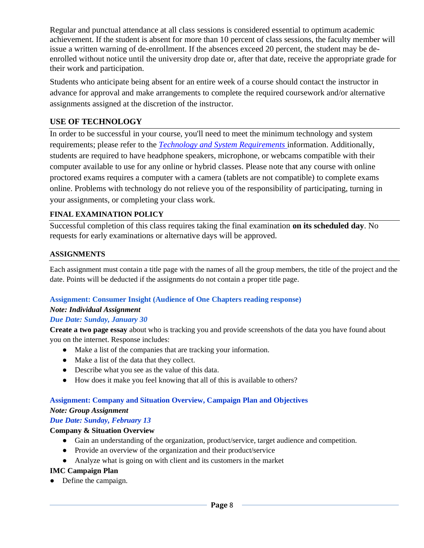Regular and punctual attendance at all class sessions is considered essential to optimum academic achievement. If the student is absent for more than 10 percent of class sessions, the faculty member will issue a written warning of de-enrollment. If the absences exceed 20 percent, the student may be deenrolled without notice until the university drop date or, after that date, receive the appropriate grade for their work and participation.

Students who anticipate being absent for an entire week of a course should contact the instructor in advance for approval and make arrangements to complete the required coursework and/or alternative assignments assigned at the discretion of the instructor.

# **USE OF TECHNOLOGY**

In order to be successful in your course, you'll need to meet the minimum technology and system requirements; please refer to the *[Technology and System Requirements](https://help.pointloma.edu/TDClient/1808/Portal/KB/ArticleDet?ID=108349)* information. Additionally, students are required to have headphone speakers, microphone, or webcams compatible with their computer available to use for any online or hybrid classes. Please note that any course with online proctored exams requires a computer with a camera (tablets are not compatible) to complete exams online. Problems with technology do not relieve you of the responsibility of participating, turning in your assignments, or completing your class work.

### **FINAL EXAMINATION POLICY**

Successful completion of this class requires taking the final examination **on its scheduled day**. No requests for early examinations or alternative days will be approved.

### **ASSIGNMENTS**

Each assignment must contain a title page with the names of all the group members, the title of the project and the date. Points will be deducted if the assignments do not contain a proper title page.

#### **Assignment: Consumer Insight (Audience of One Chapters reading response)**

# *Note: Individual Assignment*

#### *Due Date: Sunday, January 30*

**Create a two page essay** about who is tracking you and provide screenshots of the data you have found about you on the internet. Response includes:

- Make a list of the companies that are tracking your information.
- Make a list of the data that they collect.
- Describe what you see as the value of this data.
- How does it make you feel knowing that all of this is available to others?

# **Assignment: Company and Situation Overview, Campaign Plan and Objectives**

#### *Note: Group Assignment*

### *Due Date: Sunday, February 13*

#### **Company & Situation Overview**

- Gain an understanding of the organization, product/service, target audience and competition.
- Provide an overview of the organization and their product/service
- Analyze what is going on with client and its customers in the market

### **IMC Campaign Plan**

● Define the campaign.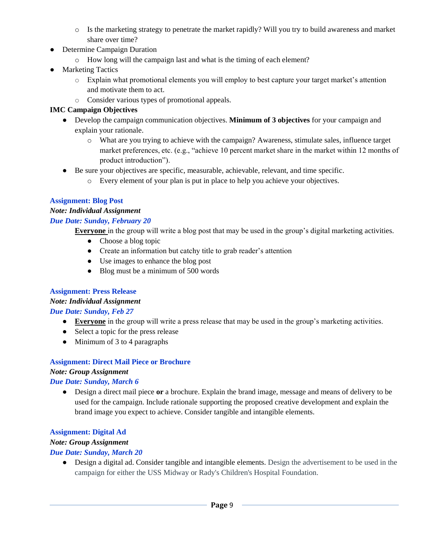- o Is the marketing strategy to penetrate the market rapidly? Will you try to build awareness and market share over time?
- Determine Campaign Duration
	- o How long will the campaign last and what is the timing of each element?
- Marketing Tactics
	- o Explain what promotional elements you will employ to best capture your target market's attention and motivate them to act.
	- o Consider various types of promotional appeals.

### **IMC Campaign Objectives**

- Develop the campaign communication objectives. **Minimum of 3 objectives** for your campaign and explain your rationale.
	- o What are you trying to achieve with the campaign? Awareness, stimulate sales, influence target market preferences, etc. (e.g., "achieve 10 percent market share in the market within 12 months of product introduction").
- Be sure your objectives are specific, measurable, achievable, relevant, and time specific.
	- o Every element of your plan is put in place to help you achieve your objectives.

# **Assignment: Blog Post**

# *Note: Individual Assignment*

### *Due Date: Sunday, February 20*

**Everyone** in the group will write a blog post that may be used in the group's digital marketing activities.

- Choose a blog topic
- Create an information but catchy title to grab reader's attention
- Use images to enhance the blog post
- Blog must be a minimum of 500 words

### **Assignment: Press Release**

### *Note: Individual Assignment*

# *Due Date: Sunday, Feb 27*

- **● Everyone** in the group will write a press release that may be used in the group's marketing activities.
- **●** Select a topic for the press release
- **●** Minimum of 3 to 4 paragraphs

# **Assignment: Direct Mail Piece or Brochure**

# *Note: Group Assignment*

# *Due Date: Sunday, March 6*

● Design a direct mail piece **or** a brochure. Explain the brand image, message and means of delivery to be used for the campaign. Include rationale supporting the proposed creative development and explain the brand image you expect to achieve. Consider tangible and intangible elements.

# **Assignment: Digital Ad**

# *Note: Group Assignment*

# *Due Date: Sunday, March 20*

● Design a digital ad. Consider tangible and intangible elements. Design the advertisement to be used in the campaign for either the USS Midway or Rady's Children's Hospital Foundation.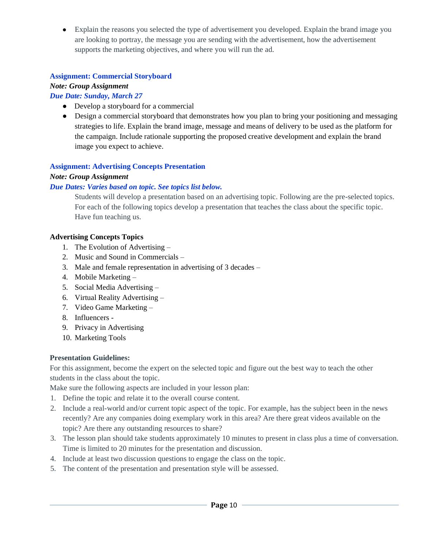• Explain the reasons you selected the type of advertisement you developed. Explain the brand image you are looking to portray, the message you are sending with the advertisement, how the advertisement supports the marketing objectives, and where you will run the ad.

### **Assignment: Commercial Storyboard**

#### *Note: Group Assignment*

#### *Due Date: Sunday, March 27*

- Develop a storyboard for a commercial
- Design a commercial storyboard that demonstrates how you plan to bring your positioning and messaging strategies to life. Explain the brand image, message and means of delivery to be used as the platform for the campaign. Include rationale supporting the proposed creative development and explain the brand image you expect to achieve.

#### **Assignment: Advertising Concepts Presentation**

#### *Note: Group Assignment*

#### *Due Dates: Varies based on topic. See topics list below.*

Students will develop a presentation based on an advertising topic. Following are the pre-selected topics. For each of the following topics develop a presentation that teaches the class about the specific topic. Have fun teaching us.

#### **Advertising Concepts Topics**

- 1. The Evolution of Advertising –
- 2. Music and Sound in Commercials –
- 3. Male and female representation in advertising of 3 decades –
- 4. Mobile Marketing –
- 5. Social Media Advertising –
- 6. Virtual Reality Advertising –
- 7. Video Game Marketing –
- 8. Influencers -
- 9. Privacy in Advertising
- 10. Marketing Tools

#### **Presentation Guidelines:**

For this assignment, become the expert on the selected topic and figure out the best way to teach the other students in the class about the topic.

Make sure the following aspects are included in your lesson plan:

- 1. Define the topic and relate it to the overall course content.
- 2. Include a real-world and/or current topic aspect of the topic. For example, has the subject been in the news recently? Are any companies doing exemplary work in this area? Are there great videos available on the topic? Are there any outstanding resources to share?
- 3. The lesson plan should take students approximately 10 minutes to present in class plus a time of conversation. Time is limited to 20 minutes for the presentation and discussion.
- 4. Include at least two discussion questions to engage the class on the topic.
- 5. The content of the presentation and presentation style will be assessed.